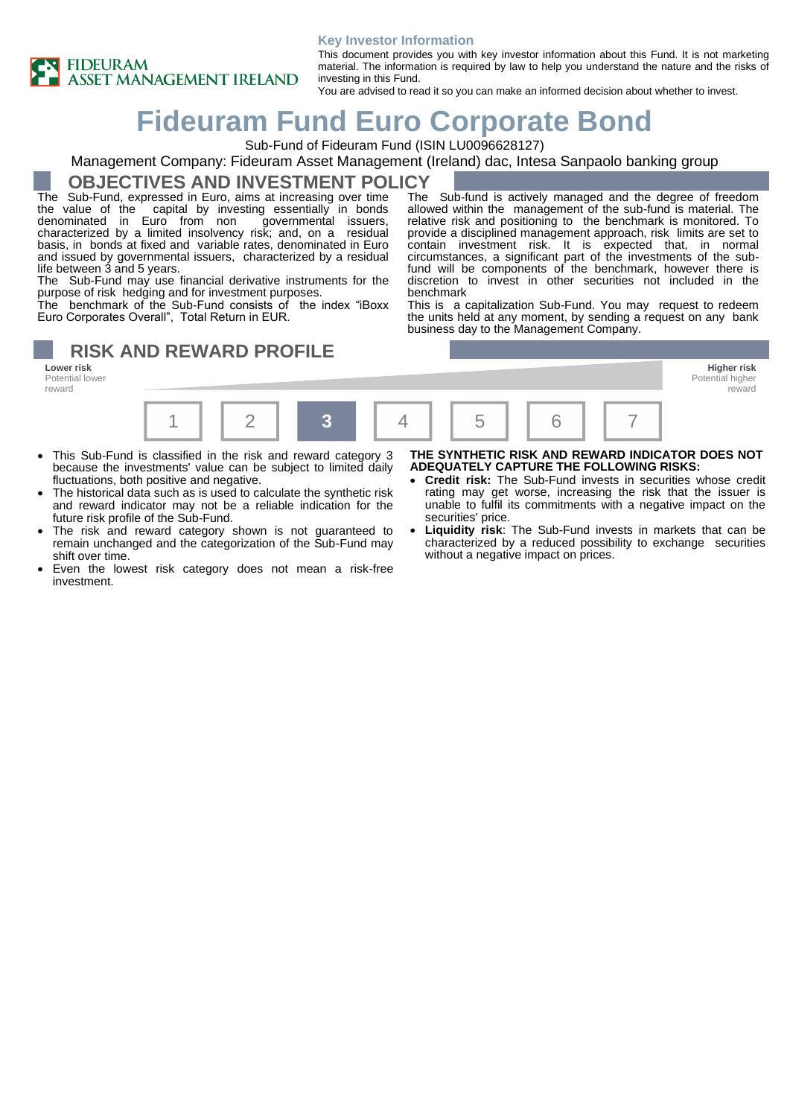

#### **Key Investor Information**

This document provides you with key investor information about this Fund. It is not marketing material. The information is required by law to help you understand the nature and the risks of investing in this Fund.

You are advised to read it so you can make an informed decision about whether to invest.

## **Fideuram Fund Euro Corporate Bond**

Sub-Fund of Fideuram Fund (ISIN LU0096628127)

#### Management Company: Fideuram Asset Management (Ireland) dac, Intesa Sanpaolo banking group

**OBJECTIVES AND INVESTMENT POLICY**

The Sub-Fund, expressed in Euro, aims at increasing over time the value of the capital by investing essentially in bonds denominated in Euro from non governmental issuers, denominated in Euro from non governmental issuers, characterized by a limited insolvency risk; and, on a residual basis, in bonds at fixed and variable rates, denominated in Euro and issued by governmental issuers, characterized by a residual life between 3 and 5 years.

The Sub-Fund may use financial derivative instruments for the purpose of risk hedging and for investment purposes.

The benchmark of the Sub-Fund consists of the index "iBoxx Euro Corporates Overall", Total Return in EUR.

#### The Sub-fund is actively managed and the degree of freedom allowed within the management of the sub-fund is material. The relative risk and positioning to the benchmark is monitored. To provide a disciplined management approach, risk limits are set to contain investment risk. It is expected that, in normal circumstances, a significant part of the investments of the subfund will be components of the benchmark, however there is discretion to invest in other securities not included in the benchmark

This is a capitalization Sub-Fund. You may request to redeem the units held at any moment, by sending a request on any bank business day to the Management Company.

# **RISK AND REWARD PROFILE**<br>Lower risk

Potential lower reward



- This Sub-Fund is classified in the risk and reward category 3 because the investments' value can be subject to limited daily fluctuations, both positive and negative.
- The historical data such as is used to calculate the synthetic risk and reward indicator may not be a reliable indication for the future risk profile of the Sub-Fund.
- The risk and reward category shown is not guaranteed to remain unchanged and the categorization of the Sub-Fund may shift over time.
- Even the lowest risk category does not mean a risk-free investment.

#### **THE SYNTHETIC RISK AND REWARD INDICATOR DOES NOT ADEQUATELY CAPTURE THE FOLLOWING RISKS:**

reward

- **Credit risk:** The Sub-Fund invests in securities whose credit rating may get worse, increasing the risk that the issuer is unable to fulfil its commitments with a negative impact on the securities' price.
- **Liquidity risk**: The Sub-Fund invests in markets that can be characterized by a reduced possibility to exchange securities without a negative impact on prices.